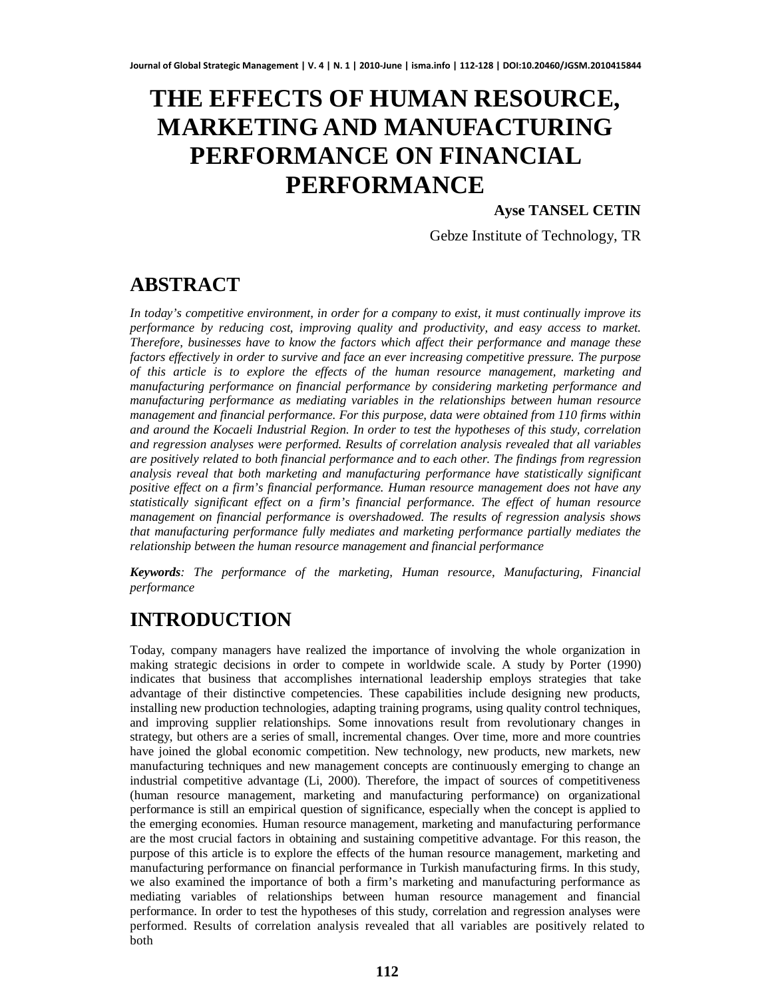# **THE EFFECTS OF HUMAN RESOURCE, MARKETING AND MANUFACTURING PERFORMANCE ON FINANCIAL PERFORMANCE**

### **Ayse TANSEL CETIN**

Gebze Institute of Technology, TR

## **ABSTRACT**

*In today's competitive environment, in order for a company to exist, it must continually improve its performance by reducing cost, improving quality and productivity, and easy access to market. Therefore, businesses have to know the factors which affect their performance and manage these factors effectively in order to survive and face an ever increasing competitive pressure. The purpose of this article is to explore the effects of the human resource management, marketing and manufacturing performance on financial performance by considering marketing performance and manufacturing performance as mediating variables in the relationships between human resource management and financial performance. For this purpose, data were obtained from 110 firms within and around the Kocaeli Industrial Region. In order to test the hypotheses of this study, correlation and regression analyses were performed. Results of correlation analysis revealed that all variables are positively related to both financial performance and to each other. The findings from regression analysis reveal that both marketing and manufacturing performance have statistically significant positive effect on a firm's financial performance. Human resource management does not have any statistically significant effect on a firm's financial performance. The effect of human resource management on financial performance is overshadowed. The results of regression analysis shows that manufacturing performance fully mediates and marketing performance partially mediates the relationship between the human resource management and financial performance*

*Keywords: The performance of the marketing, Human resource, Manufacturing, Financial performance*

# **INTRODUCTION**

Today, company managers have realized the importance of involving the whole organization in making strategic decisions in order to compete in worldwide scale. A study by Porter (1990) indicates that business that accomplishes international leadership employs strategies that take advantage of their distinctive competencies. These capabilities include designing new products, installing new production technologies, adapting training programs, using quality control techniques, and improving supplier relationships. Some innovations result from revolutionary changes in strategy, but others are a series of small, incremental changes. Over time, more and more countries have joined the global economic competition. New technology, new products, new markets, new manufacturing techniques and new management concepts are continuously emerging to change an industrial competitive advantage (Li, 2000). Therefore, the impact of sources of competitiveness (human resource management, marketing and manufacturing performance) on organizational performance is still an empirical question of significance, especially when the concept is applied to the emerging economies. Human resource management, marketing and manufacturing performance are the most crucial factors in obtaining and sustaining competitive advantage. For this reason, the purpose of this article is to explore the effects of the human resource management, marketing and manufacturing performance on financial performance in Turkish manufacturing firms. In this study, we also examined the importance of both a firm's marketing and manufacturing performance as mediating variables of relationships between human resource management and financial performance. In order to test the hypotheses of this study, correlation and regression analyses were performed. Results of correlation analysis revealed that all variables are positively related to both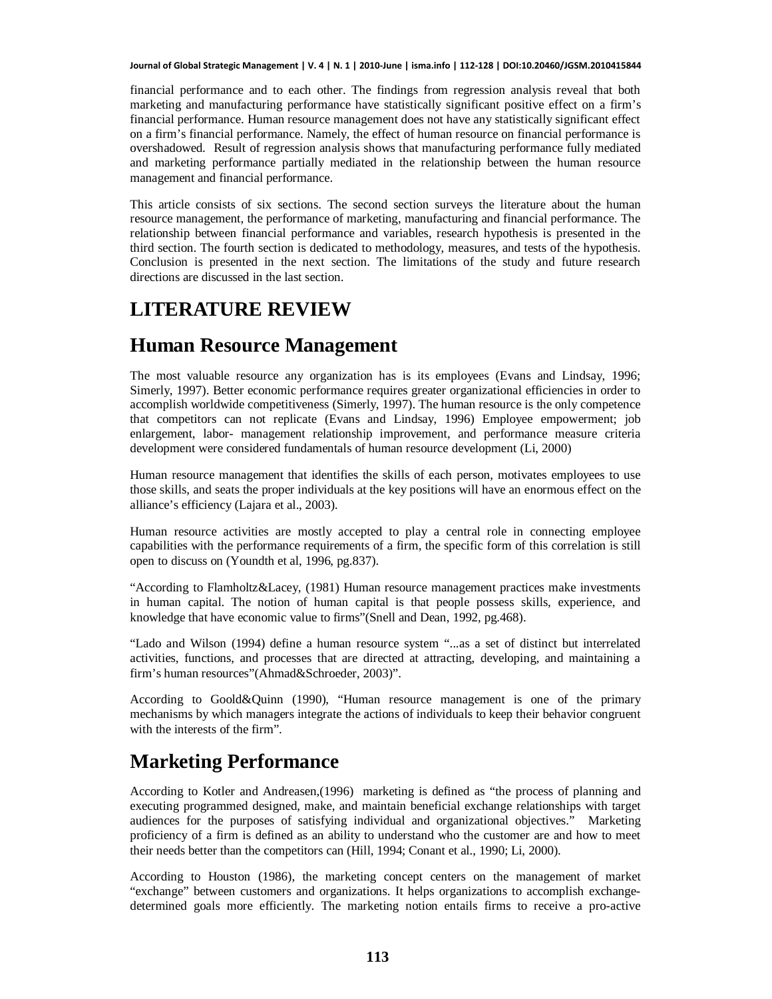financial performance and to each other. The findings from regression analysis reveal that both marketing and manufacturing performance have statistically significant positive effect on a firm's financial performance. Human resource management does not have any statistically significant effect on a firm's financial performance. Namely, the effect of human resource on financial performance is overshadowed. Result of regression analysis shows that manufacturing performance fully mediated and marketing performance partially mediated in the relationship between the human resource management and financial performance.

This article consists of six sections. The second section surveys the literature about the human resource management, the performance of marketing, manufacturing and financial performance. The relationship between financial performance and variables, research hypothesis is presented in the third section. The fourth section is dedicated to methodology, measures, and tests of the hypothesis. Conclusion is presented in the next section. The limitations of the study and future research directions are discussed in the last section.

## **LITERATURE REVIEW**

### **Human Resource Management**

The most valuable resource any organization has is its employees (Evans and Lindsay, 1996; Simerly, 1997). Better economic performance requires greater organizational efficiencies in order to accomplish worldwide competitiveness (Simerly, 1997). The human resource is the only competence that competitors can not replicate (Evans and Lindsay, 1996) Employee empowerment; job enlargement, labor- management relationship improvement, and performance measure criteria development were considered fundamentals of human resource development (Li, 2000)

Human resource management that identifies the skills of each person, motivates employees to use those skills, and seats the proper individuals at the key positions will have an enormous effect on the alliance's efficiency (Lajara et al., 2003).

Human resource activities are mostly accepted to play a central role in connecting employee capabilities with the performance requirements of a firm, the specific form of this correlation is still open to discuss on (Youndth et al, 1996, pg.837).

"According to Flamholtz&Lacey, (1981) Human resource management practices make investments in human capital. The notion of human capital is that people possess skills, experience, and knowledge that have economic value to firms"(Snell and Dean, 1992, pg.468).

"Lado and Wilson (1994) define a human resource system "...as a set of distinct but interrelated activities, functions, and processes that are directed at attracting, developing, and maintaining a firm's human resources"(Ahmad&Schroeder, 2003)".

According to Goold&Quinn (1990), "Human resource management is one of the primary mechanisms by which managers integrate the actions of individuals to keep their behavior congruent with the interests of the firm".

## **Marketing Performance**

According to Kotler and Andreasen,(1996) marketing is defined as "the process of planning and executing programmed designed, make, and maintain beneficial exchange relationships with target audiences for the purposes of satisfying individual and organizational objectives." Marketing proficiency of a firm is defined as an ability to understand who the customer are and how to meet their needs better than the competitors can (Hill, 1994; Conant et al., 1990; Li, 2000).

According to Houston (1986), the marketing concept centers on the management of market "exchange" between customers and organizations. It helps organizations to accomplish exchangedetermined goals more efficiently. The marketing notion entails firms to receive a pro-active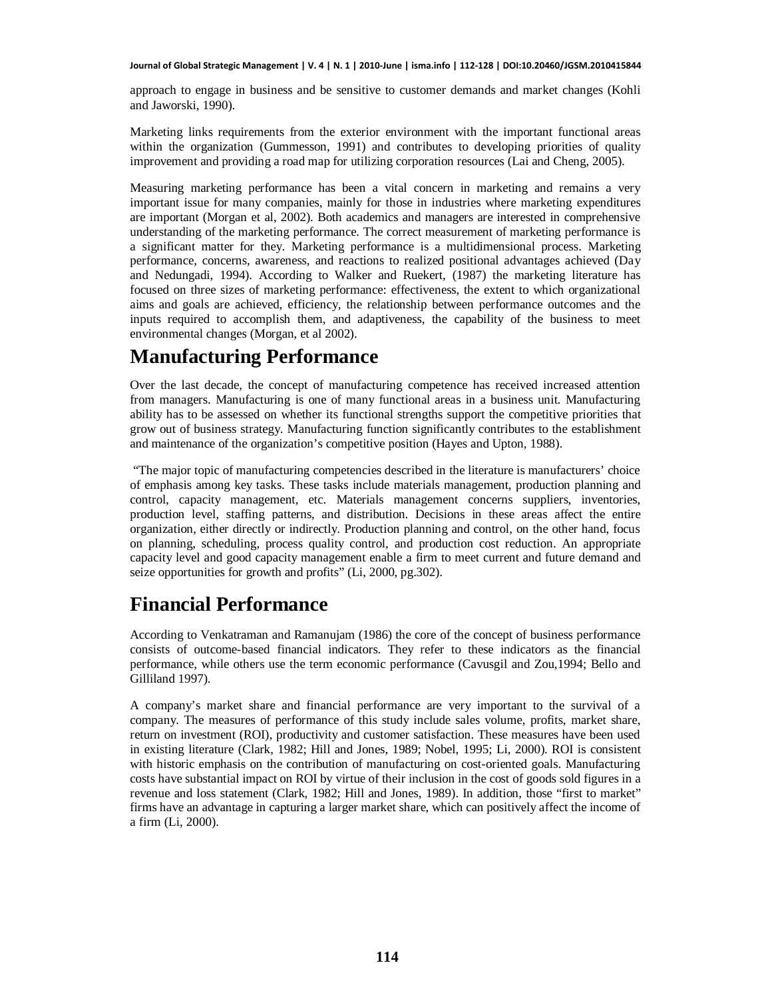approach to engage in business and be sensitive to customer demands and market changes (Kohli and Jaworski, 1990).

Marketing links requirements from the exterior environment with the important functional areas within the organization (Gummesson, 1991) and contributes to developing priorities of quality improvement and providing a road map for utilizing corporation resources (Lai and Cheng, 2005).

Measuring marketing performance has been a vital concern in marketing and remains a very important issue for many companies, mainly for those in industries where marketing expenditures are important (Morgan et al, 2002). Both academics and managers are interested in comprehensive understanding of the marketing performance. The correct measurement of marketing performance is a significant matter for they. Marketing performance is a multidimensional process. Marketing performance, concerns, awareness, and reactions to realized positional advantages achieved (Day and Nedungadi, 1994). According to Walker and Ruekert, (1987) the marketing literature has focused on three sizes of marketing performance: effectiveness, the extent to which organizational aims and goals are achieved, efficiency, the relationship between performance outcomes and the inputs required to accomplish them, and adaptiveness, the capability of the business to meet environmental changes (Morgan, et al 2002).

## **Manufacturing Performance**

Over the last decade, the concept of manufacturing competence has received increased attention from managers. Manufacturing is one of many functional areas in a business unit. Manufacturing ability has to be assessed on whether its functional strengths support the competitive priorities that grow out of business strategy. Manufacturing function significantly contributes to the establishment and maintenance of the organization's competitive position (Hayes and Upton, 1988).

 "The major topic of manufacturing competencies described in the literature is manufacturers' choice of emphasis among key tasks. These tasks include materials management, production planning and control, capacity management, etc. Materials management concerns suppliers, inventories, production level, staffing patterns, and distribution. Decisions in these areas affect the entire organization, either directly or indirectly. Production planning and control, on the other hand, focus on planning, scheduling, process quality control, and production cost reduction. An appropriate capacity level and good capacity management enable a firm to meet current and future demand and seize opportunities for growth and profits" (Li, 2000, pg.302).

## **Financial Performance**

According to Venkatraman and Ramanujam (1986) the core of the concept of business performance consists of outcome-based financial indicators. They refer to these indicators as the financial performance, while others use the term economic performance (Cavusgil and Zou,1994; Bello and Gilliland 1997).

A company's market share and financial performance are very important to the survival of a company. The measures of performance of this study include sales volume, profits, market share, return on investment (ROI), productivity and customer satisfaction. These measures have been used in existing literature (Clark, 1982; Hill and Jones, 1989; Nobel, 1995; Li, 2000). ROI is consistent with historic emphasis on the contribution of manufacturing on cost-oriented goals. Manufacturing costs have substantial impact on ROI by virtue of their inclusion in the cost of goods sold figures in a revenue and loss statement (Clark, 1982; Hill and Jones, 1989). In addition, those "first to market" firms have an advantage in capturing a larger market share, which can positively affect the income of a firm (Li, 2000).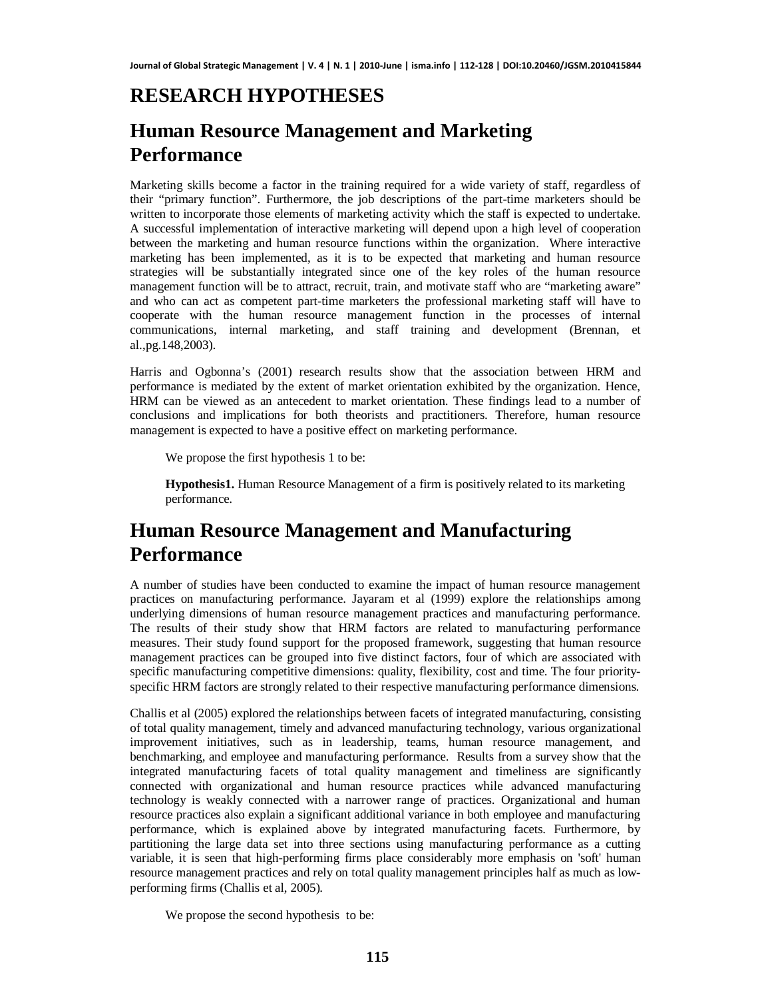# **RESEARCH HYPOTHESES**

# **Human Resource Management and Marketing Performance**

Marketing skills become a factor in the training required for a wide variety of staff, regardless of their "primary function". Furthermore, the job descriptions of the part-time marketers should be written to incorporate those elements of marketing activity which the staff is expected to undertake. A successful implementation of interactive marketing will depend upon a high level of cooperation between the marketing and human resource functions within the organization. Where interactive marketing has been implemented, as it is to be expected that marketing and human resource strategies will be substantially integrated since one of the key roles of the human resource management function will be to attract, recruit, train, and motivate staff who are "marketing aware" and who can act as competent part-time marketers the professional marketing staff will have to cooperate with the human resource management function in the processes of internal communications, internal marketing, and staff training and development (Brennan, et al.,pg.148,2003).

Harris and Ogbonna's (2001) research results show that the association between HRM and performance is mediated by the extent of market orientation exhibited by the organization. Hence, HRM can be viewed as an antecedent to market orientation. These findings lead to a number of conclusions and implications for both theorists and practitioners. Therefore, human resource management is expected to have a positive effect on marketing performance.

We propose the first hypothesis 1 to be:

**Hypothesis1.** Human Resource Management of a firm is positively related to its marketing performance.

# **Human Resource Management and Manufacturing Performance**

A number of studies have been conducted to examine the impact of human resource management practices on manufacturing performance. Jayaram et al (1999) explore the relationships among underlying dimensions of human resource management practices and manufacturing performance. The results of their study show that HRM factors are related to manufacturing performance measures. Their study found support for the proposed framework, suggesting that human resource management practices can be grouped into five distinct factors, four of which are associated with specific manufacturing competitive dimensions: quality, flexibility, cost and time. The four priorityspecific HRM factors are strongly related to their respective manufacturing performance dimensions.

Challis et al (2005) explored the relationships between facets of integrated manufacturing, consisting of total quality management, timely and advanced manufacturing technology, various organizational improvement initiatives, such as in leadership, teams, human resource management, and benchmarking, and employee and manufacturing performance. Results from a survey show that the integrated manufacturing facets of total quality management and timeliness are significantly connected with organizational and human resource practices while advanced manufacturing technology is weakly connected with a narrower range of practices. Organizational and human resource practices also explain a significant additional variance in both employee and manufacturing performance, which is explained above by integrated manufacturing facets. Furthermore, by partitioning the large data set into three sections using manufacturing performance as a cutting variable, it is seen that high-performing firms place considerably more emphasis on 'soft' human resource management practices and rely on total quality management principles half as much as lowperforming firms (Challis et al, 2005).

We propose the second hypothesis to be: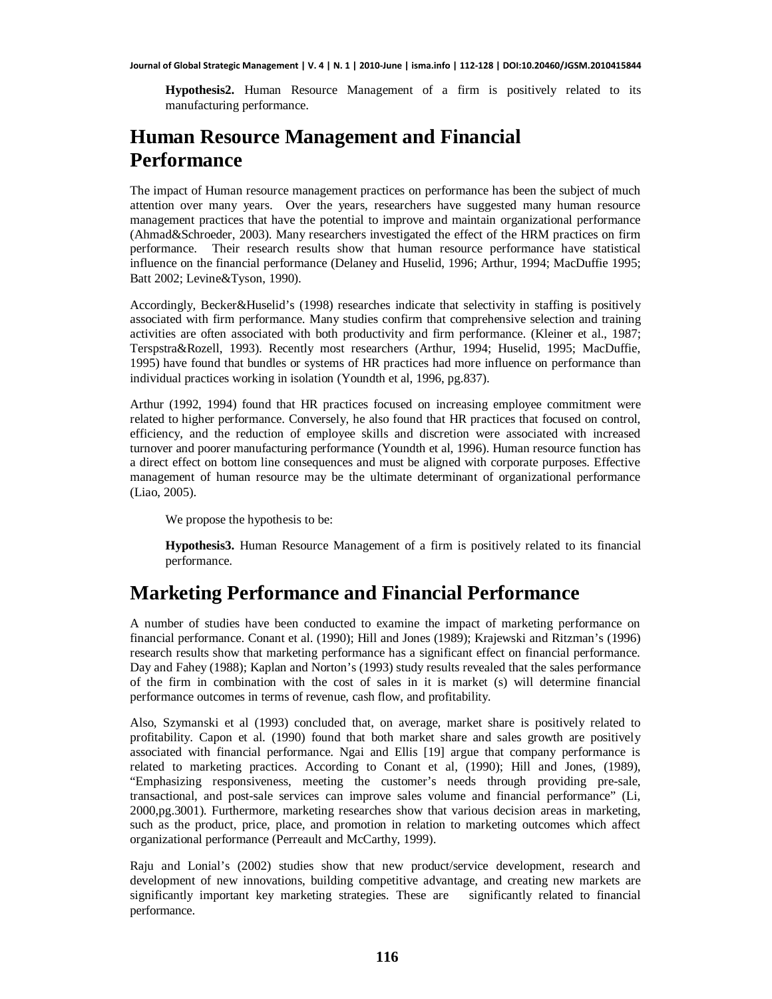**Hypothesis2.** Human Resource Management of a firm is positively related to its manufacturing performance.

# **Human Resource Management and Financial Performance**

The impact of Human resource management practices on performance has been the subject of much attention over many years. Over the years, researchers have suggested many human resource management practices that have the potential to improve and maintain organizational performance (Ahmad&Schroeder, 2003). Many researchers investigated the effect of the HRM practices on firm performance. Their research results show that human resource performance have statistical influence on the financial performance (Delaney and Huselid, 1996; Arthur, 1994; MacDuffie 1995; Batt 2002; Levine&Tyson, 1990).

Accordingly, Becker&Huselid's (1998) researches indicate that selectivity in staffing is positively associated with firm performance. Many studies confirm that comprehensive selection and training activities are often associated with both productivity and firm performance. (Kleiner et al., 1987; Terspstra&Rozell, 1993). Recently most researchers (Arthur, 1994; Huselid, 1995; MacDuffie, 1995) have found that bundles or systems of HR practices had more influence on performance than individual practices working in isolation (Youndth et al, 1996, pg.837).

Arthur (1992, 1994) found that HR practices focused on increasing employee commitment were related to higher performance. Conversely, he also found that HR practices that focused on control, efficiency, and the reduction of employee skills and discretion were associated with increased turnover and poorer manufacturing performance (Youndth et al, 1996). Human resource function has a direct effect on bottom line consequences and must be aligned with corporate purposes. Effective management of human resource may be the ultimate determinant of organizational performance (Liao, 2005).

We propose the hypothesis to be:

**Hypothesis3.** Human Resource Management of a firm is positively related to its financial performance.

### **Marketing Performance and Financial Performance**

A number of studies have been conducted to examine the impact of marketing performance on financial performance. Conant et al. (1990); Hill and Jones (1989); Krajewski and Ritzman's (1996) research results show that marketing performance has a significant effect on financial performance. Day and Fahey (1988); Kaplan and Norton's (1993) study results revealed that the sales performance of the firm in combination with the cost of sales in it is market (s) will determine financial performance outcomes in terms of revenue, cash flow, and profitability.

Also, Szymanski et al (1993) concluded that, on average, market share is positively related to profitability. Capon et al. (1990) found that both market share and sales growth are positively associated with financial performance. Ngai and Ellis [19] argue that company performance is related to marketing practices. According to Conant et al, (1990); Hill and Jones, (1989), "Emphasizing responsiveness, meeting the customer's needs through providing pre-sale, transactional, and post-sale services can improve sales volume and financial performance" (Li, 2000,pg.3001). Furthermore, marketing researches show that various decision areas in marketing, such as the product, price, place, and promotion in relation to marketing outcomes which affect organizational performance (Perreault and McCarthy, 1999).

Raju and Lonial's (2002) studies show that new product/service development, research and development of new innovations, building competitive advantage, and creating new markets are significantly important key marketing strategies. These are significantly related to financial performance.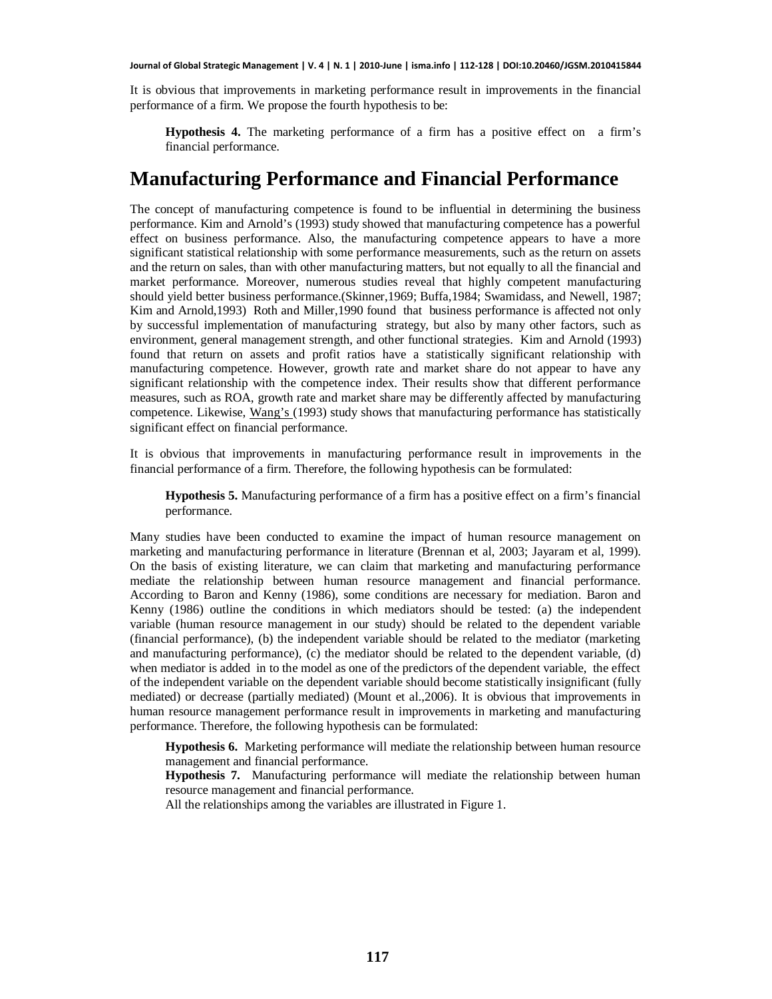It is obvious that improvements in marketing performance result in improvements in the financial performance of a firm. We propose the fourth hypothesis to be:

**Hypothesis 4.** The marketing performance of a firm has a positive effect on a firm's financial performance.

### **Manufacturing Performance and Financial Performance**

The concept of manufacturing competence is found to be influential in determining the business performance. Kim and Arnold's (1993) study showed that manufacturing competence has a powerful effect on business performance. Also, the manufacturing competence appears to have a more significant statistical relationship with some performance measurements, such as the return on assets and the return on sales, than with other manufacturing matters, but not equally to all the financial and market performance. Moreover, numerous studies reveal that highly competent manufacturing should yield better business performance.(Skinner,1969; Buffa,1984; Swamidass, and Newell, 1987; Kim and Arnold,1993) Roth and Miller,1990 found that business performance is affected not only by successful implementation of manufacturing strategy, but also by many other factors, such as environment, general management strength, and other functional strategies. Kim and Arnold (1993) found that return on assets and profit ratios have a statistically significant relationship with manufacturing competence. However, growth rate and market share do not appear to have any significant relationship with the competence index. Their results show that different performance measures, such as ROA, growth rate and market share may be differently affected by manufacturing competence. Likewise, Wang's (1993) study shows that manufacturing performance has statistically significant effect on financial performance.

It is obvious that improvements in manufacturing performance result in improvements in the financial performance of a firm. Therefore, the following hypothesis can be formulated:

**Hypothesis 5.** Manufacturing performance of a firm has a positive effect on a firm's financial performance.

Many studies have been conducted to examine the impact of human resource management on marketing and manufacturing performance in literature (Brennan et al, 2003; Jayaram et al, 1999). On the basis of existing literature, we can claim that marketing and manufacturing performance mediate the relationship between human resource management and financial performance. According to Baron and Kenny (1986), some conditions are necessary for mediation. Baron and Kenny (1986) outline the conditions in which mediators should be tested: (a) the independent variable (human resource management in our study) should be related to the dependent variable (financial performance), (b) the independent variable should be related to the mediator (marketing and manufacturing performance), (c) the mediator should be related to the dependent variable, (d) when mediator is added in to the model as one of the predictors of the dependent variable, the effect of the independent variable on the dependent variable should become statistically insignificant (fully mediated) or decrease (partially mediated) (Mount et al.,2006). It is obvious that improvements in human resource management performance result in improvements in marketing and manufacturing performance. Therefore, the following hypothesis can be formulated:

**Hypothesis 6.** Marketing performance will mediate the relationship between human resource management and financial performance.

**Hypothesis 7.** Manufacturing performance will mediate the relationship between human resource management and financial performance.

All the relationships among the variables are illustrated in Figure 1.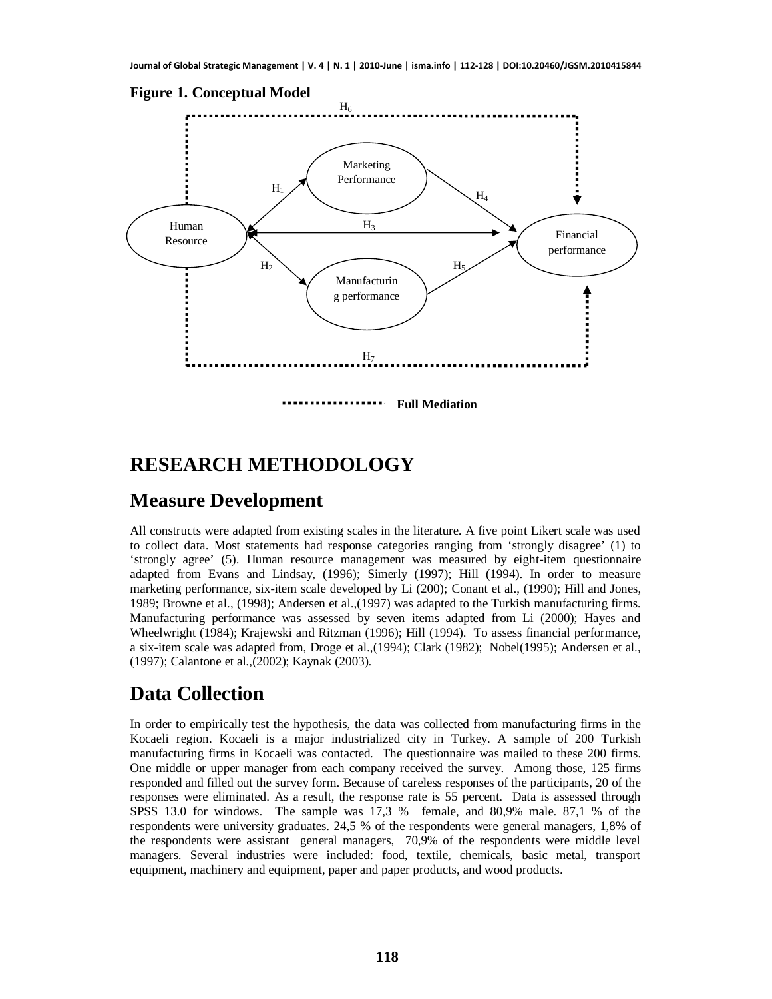

### **RESEARCH METHODOLOGY**

### **Measure Development**

All constructs were adapted from existing scales in the literature. A five point Likert scale was used to collect data. Most statements had response categories ranging from 'strongly disagree' (1) to 'strongly agree' (5). Human resource management was measured by eight-item questionnaire adapted from Evans and Lindsay, (1996); Simerly (1997); Hill (1994). In order to measure marketing performance, six-item scale developed by Li (200); Conant et al., (1990); Hill and Jones, 1989; Browne et al., (1998); Andersen et al.,(1997) was adapted to the Turkish manufacturing firms. Manufacturing performance was assessed by seven items adapted from Li (2000); Hayes and Wheelwright (1984); Krajewski and Ritzman (1996); Hill (1994). To assess financial performance, a six-item scale was adapted from, Droge et al.,(1994); Clark (1982); Nobel(1995); Andersen et al., (1997); Calantone et al.,(2002); Kaynak (2003).

### **Data Collection**

In order to empirically test the hypothesis, the data was collected from manufacturing firms in the Kocaeli region. Kocaeli is a major industrialized city in Turkey. A sample of 200 Turkish manufacturing firms in Kocaeli was contacted. The questionnaire was mailed to these 200 firms. One middle or upper manager from each company received the survey. Among those, 125 firms responded and filled out the survey form. Because of careless responses of the participants, 20 of the responses were eliminated. As a result, the response rate is 55 percent. Data is assessed through SPSS 13.0 for windows. The sample was 17,3 % female, and 80,9% male. 87,1 % of the respondents were university graduates. 24,5 % of the respondents were general managers, 1,8% of the respondents were assistant general managers, 70,9% of the respondents were middle level managers. Several industries were included: food, textile, chemicals, basic metal, transport equipment, machinery and equipment, paper and paper products, and wood products.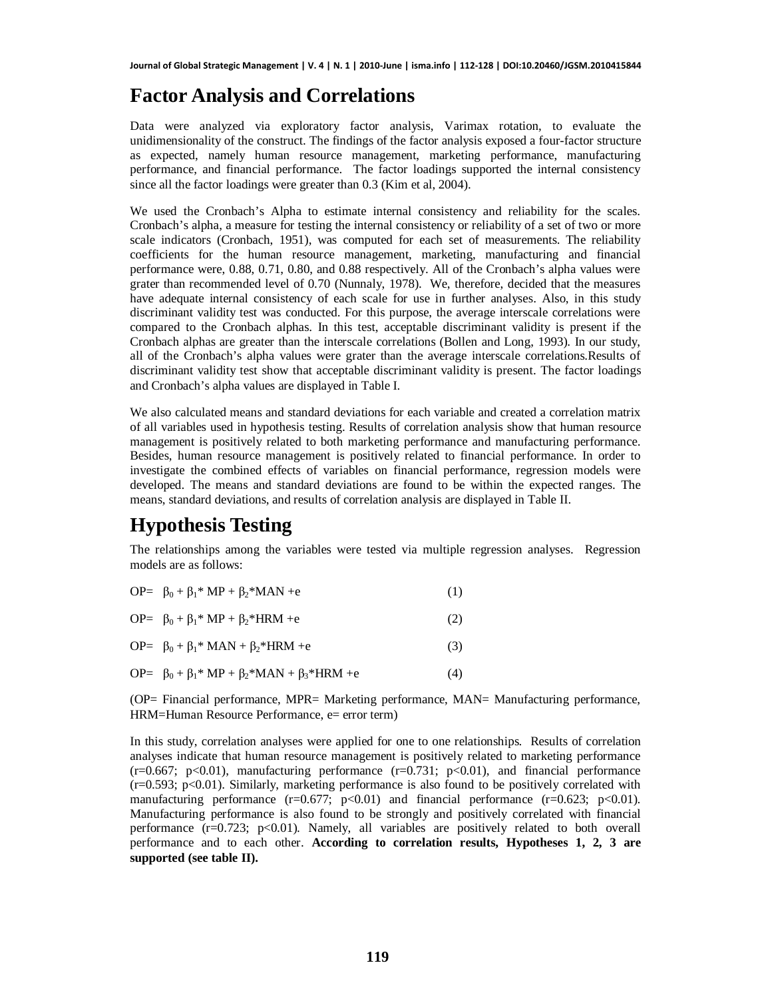## **Factor Analysis and Correlations**

Data were analyzed via exploratory factor analysis, Varimax rotation, to evaluate the unidimensionality of the construct. The findings of the factor analysis exposed a four-factor structure as expected, namely human resource management, marketing performance, manufacturing performance, and financial performance. The factor loadings supported the internal consistency since all the factor loadings were greater than 0.3 (Kim et al, 2004).

We used the Cronbach's Alpha to estimate internal consistency and reliability for the scales. Cronbach's alpha, a measure for testing the internal consistency or reliability of a set of two or more scale indicators (Cronbach, 1951), was computed for each set of measurements. The reliability coefficients for the human resource management, marketing, manufacturing and financial performance were, 0.88, 0.71, 0.80, and 0.88 respectively. All of the Cronbach's alpha values were grater than recommended level of 0.70 (Nunnaly, 1978). We, therefore, decided that the measures have adequate internal consistency of each scale for use in further analyses. Also, in this study discriminant validity test was conducted. For this purpose, the average interscale correlations were compared to the Cronbach alphas. In this test, acceptable discriminant validity is present if the Cronbach alphas are greater than the interscale correlations (Bollen and Long, 1993). In our study, all of the Cronbach's alpha values were grater than the average interscale correlations.Results of discriminant validity test show that acceptable discriminant validity is present. The factor loadings and Cronbach's alpha values are displayed in Table I.

We also calculated means and standard deviations for each variable and created a correlation matrix of all variables used in hypothesis testing. Results of correlation analysis show that human resource management is positively related to both marketing performance and manufacturing performance. Besides, human resource management is positively related to financial performance. In order to investigate the combined effects of variables on financial performance, regression models were developed. The means and standard deviations are found to be within the expected ranges. The means, standard deviations, and results of correlation analysis are displayed in Table II.

## **Hypothesis Testing**

The relationships among the variables were tested via multiple regression analyses. Regression models are as follows:

| OP= $\beta_0 + \beta_1^* MP + \beta_2^* MAN + e$                         | (1) |
|--------------------------------------------------------------------------|-----|
| OP= $\beta_0 + \beta_1^* MP + \beta_2^* HRM + e$                         | (2) |
| OP= $\beta_0 + \beta_1$ <sup>*</sup> MAN + $\beta_2$ <sup>*</sup> HRM +e | (3) |
| OP= $β_0 + β_1 * MP + β_2 * MAN + β_3 * HRM + e$                         | (4) |

(OP= Financial performance, MPR= Marketing performance, MAN= Manufacturing performance, HRM=Human Resource Performance, e= error term)

In this study, correlation analyses were applied for one to one relationships. Results of correlation analyses indicate that human resource management is positively related to marketing performance  $(r=0.667; p<0.01)$ , manufacturing performance  $(r=0.731; p<0.01)$ , and financial performance  $(r=0.593; p<0.01)$ . Similarly, marketing performance is also found to be positively correlated with manufacturing performance  $(r=0.677; p<0.01)$  and financial performance  $(r=0.623; p<0.01)$ . Manufacturing performance is also found to be strongly and positively correlated with financial performance  $(r=0.723; p<0.01)$ . Namely, all variables are positively related to both overall performance and to each other. **According to correlation results, Hypotheses 1, 2, 3 are supported (see table II).**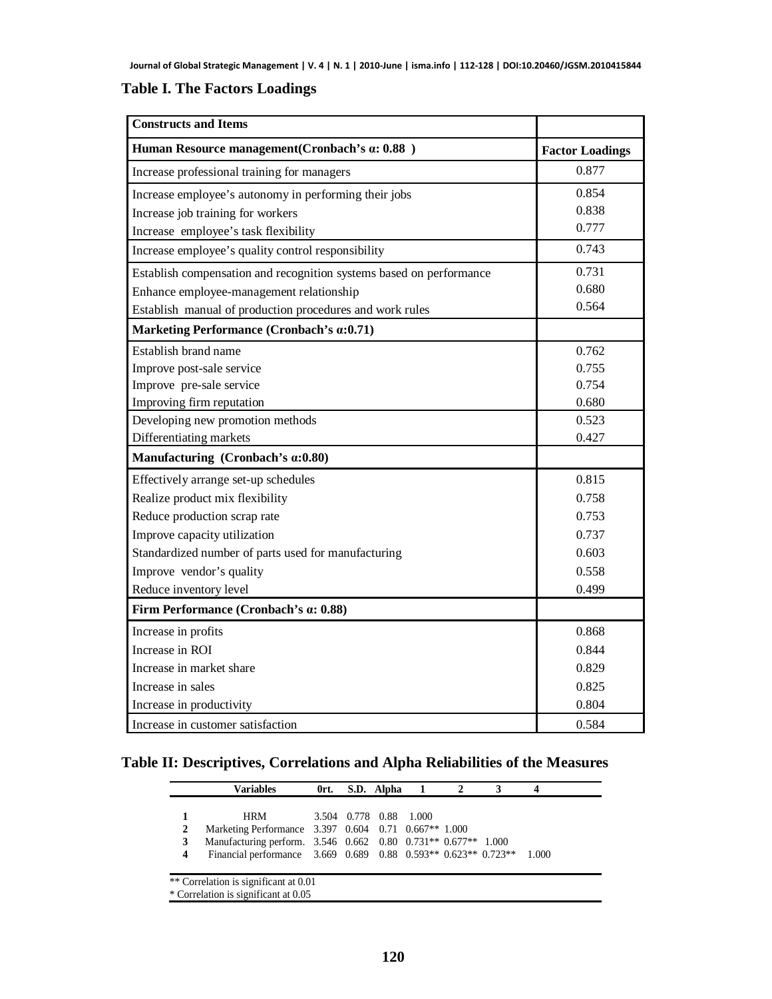### **Table I. The Factors Loadings**

| <b>Constructs and Items</b>                                         |                        |
|---------------------------------------------------------------------|------------------------|
| Human Resource management (Cronbach's a: 0.88)                      | <b>Factor Loadings</b> |
| Increase professional training for managers                         | 0.877                  |
| Increase employee's autonomy in performing their jobs               | 0.854                  |
| Increase job training for workers                                   | 0.838                  |
| Increase employee's task flexibility                                | 0.777                  |
| Increase employee's quality control responsibility                  | 0.743                  |
| Establish compensation and recognition systems based on performance | 0.731                  |
| Enhance employee-management relationship                            | 0.680                  |
| Establish manual of production procedures and work rules            | 0.564                  |
| Marketing Performance (Cronbach's $\alpha$ :0.71)                   |                        |
| Establish brand name                                                | 0.762                  |
| Improve post-sale service                                           | 0.755                  |
| Improve pre-sale service                                            | 0.754                  |
| Improving firm reputation                                           | 0.680                  |
| Developing new promotion methods                                    | 0.523                  |
| Differentiating markets                                             | 0.427                  |
| Manufacturing (Cronbach's a:0.80)                                   |                        |
| Effectively arrange set-up schedules                                | 0.815                  |
| Realize product mix flexibility                                     | 0.758                  |
| Reduce production scrap rate                                        | 0.753                  |
| Improve capacity utilization                                        | 0.737                  |
| Standardized number of parts used for manufacturing                 | 0.603                  |
| Improve vendor's quality                                            | 0.558                  |
| Reduce inventory level                                              | 0.499                  |
| Firm Performance (Cronbach's a: 0.88)                               |                        |
| Increase in profits                                                 | 0.868                  |
| Increase in ROI                                                     | 0.844                  |
| Increase in market share                                            | 0.829                  |
| Increase in sales                                                   | 0.825                  |
| Increase in productivity                                            | 0.804                  |
| Increase in customer satisfaction                                   | 0.584                  |

### **Table II: Descriptives, Correlations and Alpha Reliabilities of the Measures**

|   | Variables                                                      | 0rt. | S.D. Alpha |                        |  |       |
|---|----------------------------------------------------------------|------|------------|------------------------|--|-------|
|   |                                                                |      |            |                        |  |       |
|   | <b>HRM</b>                                                     |      |            | 3.504 0.778 0.88 1.000 |  |       |
| 2 | Marketing Performance 3.397 0.604 0.71 0.667** 1.000           |      |            |                        |  |       |
| 3 | Manufacturing perform. 3.546 0.662 0.80 0.731** 0.677** 1.000  |      |            |                        |  |       |
| 4 | Financial performance 3.669 0.689 0.88 0.593** 0.623** 0.723** |      |            |                        |  | 1.000 |

\* Correlation is significant at 0.05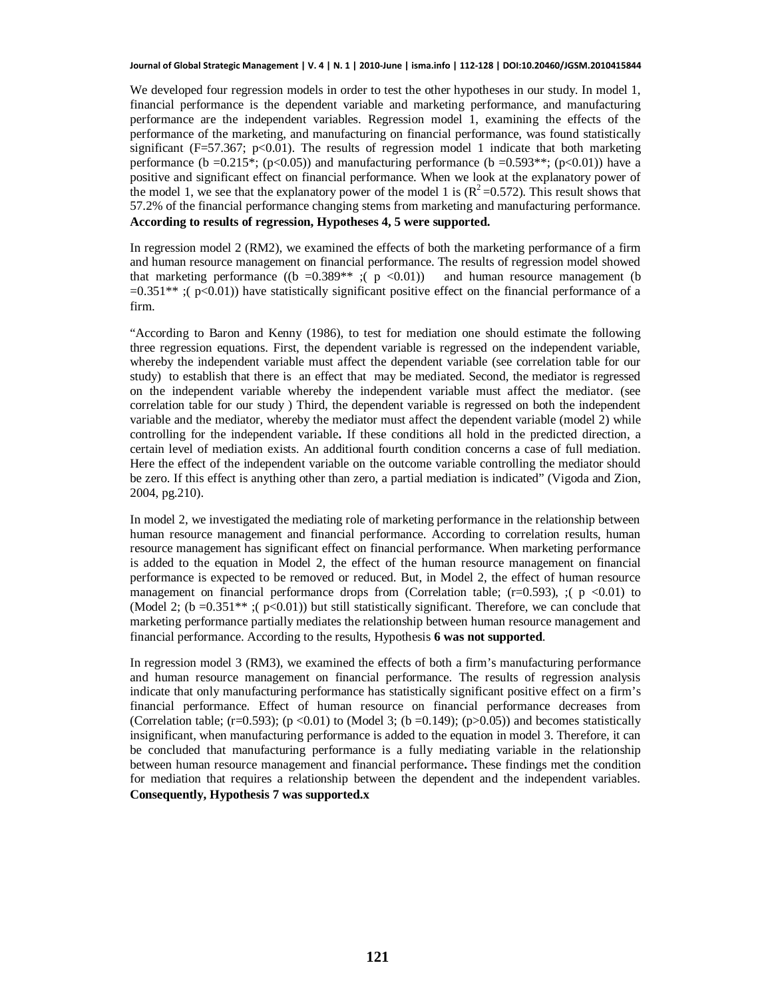We developed four regression models in order to test the other hypotheses in our study. In model 1, financial performance is the dependent variable and marketing performance, and manufacturing performance are the independent variables. Regression model 1, examining the effects of the performance of the marketing, and manufacturing on financial performance, was found statistically significant ( $F=57.367$ ; p<0.01). The results of regression model 1 indicate that both marketing performance (b =0.215<sup>\*</sup>; (p<0.05)) and manufacturing performance (b =0.593<sup>\*\*</sup>; (p<0.01)) have a positive and significant effect on financial performance. When we look at the explanatory power of the model 1, we see that the explanatory power of the model 1 is  $(R^2=0.572)$ . This result shows that 57.2% of the financial performance changing stems from marketing and manufacturing performance. **According to results of regression, Hypotheses 4, 5 were supported.**

In regression model 2 (RM2), we examined the effects of both the marketing performance of a firm and human resource management on financial performance. The results of regression model showed that marketing performance ((b =0.389<sup>\*\*</sup>); (p <0.01)) and human resource management (b  $=0.351**$ ; ( $p<0.01$ )) have statistically significant positive effect on the financial performance of a firm.

"According to Baron and Kenny (1986), to test for mediation one should estimate the following three regression equations. First, the dependent variable is regressed on the independent variable, whereby the independent variable must affect the dependent variable (see correlation table for our study) to establish that there is an effect that may be mediated. Second, the mediator is regressed on the independent variable whereby the independent variable must affect the mediator. (see correlation table for our study ) Third, the dependent variable is regressed on both the independent variable and the mediator, whereby the mediator must affect the dependent variable (model 2) while controlling for the independent variable**.** If these conditions all hold in the predicted direction, a certain level of mediation exists. An additional fourth condition concerns a case of full mediation. Here the effect of the independent variable on the outcome variable controlling the mediator should be zero. If this effect is anything other than zero, a partial mediation is indicated" (Vigoda and Zion, 2004, pg.210).

In model 2, we investigated the mediating role of marketing performance in the relationship between human resource management and financial performance. According to correlation results, human resource management has significant effect on financial performance. When marketing performance is added to the equation in Model 2, the effect of the human resource management on financial performance is expected to be removed or reduced. But, in Model 2, the effect of human resource management on financial performance drops from (Correlation table;  $(r=0.593)$ ,  $(p \le 0.01)$  to (Model 2; (b =  $0.351**$ ; (p <  $0.01$ )) but still statistically significant. Therefore, we can conclude that marketing performance partially mediates the relationship between human resource management and financial performance. According to the results, Hypothesis **6 was not supported**.

In regression model 3 (RM3), we examined the effects of both a firm's manufacturing performance and human resource management on financial performance. The results of regression analysis indicate that only manufacturing performance has statistically significant positive effect on a firm's financial performance. Effect of human resource on financial performance decreases from (Correlation table;  $(r=0.593)$ ;  $(p<0.01)$  to (Model 3;  $(b=0.149)$ ;  $(p>0.05)$ ) and becomes statistically insignificant, when manufacturing performance is added to the equation in model 3. Therefore, it can be concluded that manufacturing performance is a fully mediating variable in the relationship between human resource management and financial performance**.** These findings met the condition for mediation that requires a relationship between the dependent and the independent variables. **Consequently, Hypothesis 7 was supported.x**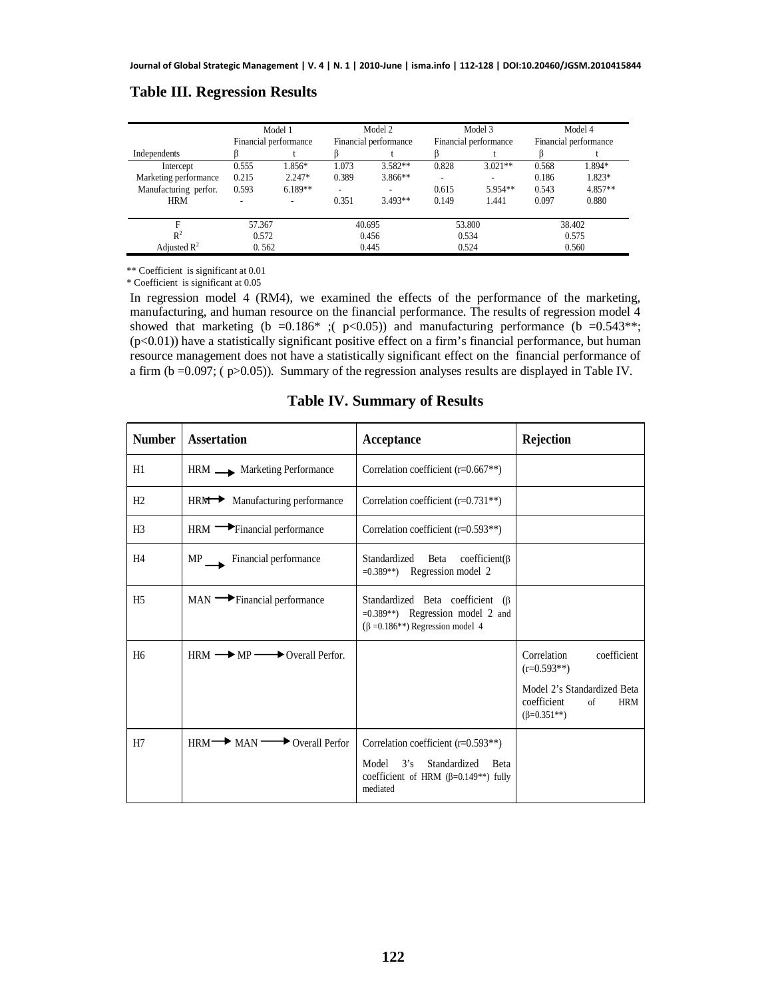|                         |       | Model 1<br>Financial performance |       | Model 2<br>Financial performance |       | Model 3<br>Financial performance |       | Model 4<br>Financial performance |
|-------------------------|-------|----------------------------------|-------|----------------------------------|-------|----------------------------------|-------|----------------------------------|
| Independents            |       |                                  |       |                                  |       |                                  |       |                                  |
| Intercept               | 0.555 | 1.856*                           | 1.073 | $3.582**$                        | 0.828 | $3.021**$                        | 0.568 | 1.894*                           |
| Marketing performance   | 0.215 | $2.247*$                         | 0.389 | $3.866**$                        |       | ۰                                | 0.186 | 1.823*                           |
| Manufacturing perfor.   | 0.593 | $6.189**$                        | ۰     |                                  | 0.615 | $5.954**$                        | 0.543 | 4.857**                          |
| <b>HRM</b>              | ۰     |                                  | 0.351 | $3.493**$                        | 0.149 | 1.441                            | 0.097 | 0.880                            |
| F<br>57.367             |       | 40.695                           |       | 53.800                           |       | 38.402                           |       |                                  |
| $R^2$                   | 0.572 |                                  |       | 0.456                            | 0.534 |                                  |       | 0.575                            |
| Adjusted $\mathbb{R}^2$ | 0.562 |                                  | 0.445 |                                  | 0.524 |                                  | 0.560 |                                  |

### **Table III. Regression Results**

\*\* Coefficient is significant at 0.01 \* Coefficient is significant at 0.05

In regression model 4 (RM4), we examined the effects of the performance of the marketing, manufacturing, and human resource on the financial performance. The results of regression model 4 showed that marketing (b = 0.186\* ;(  $p$  < 0.05)) and manufacturing performance (b = 0.543\*\*;  $(p<0.01)$ ) have a statistically significant positive effect on a firm's financial performance, but human resource management does not have a statistically significant effect on the financial performance of a firm ( $b = 0.097$ ; ( $p > 0.05$ )). Summary of the regression analyses results are displayed in Table IV.

**Table IV. Summary of Results**

| <b>Number</b>  | <b>Assertation</b>                                        | Acceptance                                                                                                                        | <b>Rejection</b>                                                                                                                     |
|----------------|-----------------------------------------------------------|-----------------------------------------------------------------------------------------------------------------------------------|--------------------------------------------------------------------------------------------------------------------------------------|
| H1             | HRM Marketing Performance                                 | Correlation coefficient ( $r=0.667**$ )                                                                                           |                                                                                                                                      |
| H2             | HRM Manufacturing performance                             | Correlation coefficient $(r=0.731**)$                                                                                             |                                                                                                                                      |
| H <sub>3</sub> | HRM Financial performance                                 | Correlation coefficient $(r=0.593**)$                                                                                             |                                                                                                                                      |
| H <sub>4</sub> | MP Financial performance                                  | Standardized Beta coefficient( $\beta$<br>$=0.389**$ ) Regression model 2                                                         |                                                                                                                                      |
| H <sub>5</sub> | $MAN \longrightarrow$ Financial performance               | Standardized Beta coefficient (B)<br>$=0.389**$ ) Regression model 2 and<br>$(\beta = 0.186^{**})$ Regression model 4             |                                                                                                                                      |
| H <sub>6</sub> | $HRM \longrightarrow MP \longrightarrow Overall Perform.$ |                                                                                                                                   | coefficient<br>Correlation<br>$(r=0.593**)$<br>Model 2's Standardized Beta<br>coefficient<br>of<br><b>HRM</b><br>$(\beta = 0.351**)$ |
| H7             | $HRM \longrightarrow MAN \longrightarrow Overall Perform$ | Correlation coefficient (r=0.593**)<br>Model $3's$<br>Standardized Beta<br>coefficient of HRM $(\beta=0.149**)$ fully<br>mediated |                                                                                                                                      |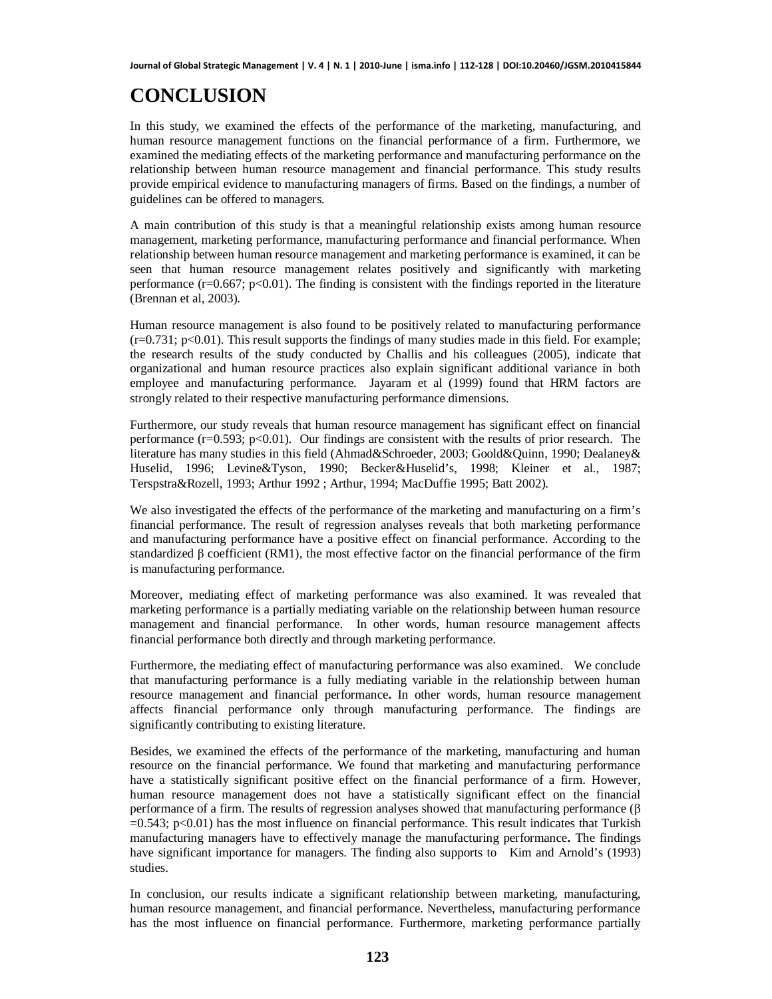# **CONCLUSION**

In this study, we examined the effects of the performance of the marketing, manufacturing, and human resource management functions on the financial performance of a firm. Furthermore, we examined the mediating effects of the marketing performance and manufacturing performance on the relationship between human resource management and financial performance. This study results provide empirical evidence to manufacturing managers of firms. Based on the findings, a number of guidelines can be offered to managers.

A main contribution of this study is that a meaningful relationship exists among human resource management, marketing performance, manufacturing performance and financial performance. When relationship between human resource management and marketing performance is examined, it can be seen that human resource management relates positively and significantly with marketing performance ( $r=0.667$ ;  $p<0.01$ ). The finding is consistent with the findings reported in the literature (Brennan et al, 2003).

Human resource management is also found to be positively related to manufacturing performance  $(r=0.731; p<0.01)$ . This result supports the findings of many studies made in this field. For example; the research results of the study conducted by Challis and his colleagues (2005), indicate that organizational and human resource practices also explain significant additional variance in both employee and manufacturing performance. Jayaram et al (1999) found that HRM factors are strongly related to their respective manufacturing performance dimensions.

Furthermore, our study reveals that human resource management has significant effect on financial performance (r=0.593; p<0.01). Our findings are consistent with the results of prior research. The literature has many studies in this field (Ahmad&Schroeder, 2003; Goold&Quinn, 1990; Dealaney& Huselid, 1996; Levine&Tyson, 1990; Becker&Huselid's, 1998; Kleiner et al., 1987; Terspstra&Rozell, 1993; Arthur 1992 ; Arthur, 1994; MacDuffie 1995; Batt 2002).

We also investigated the effects of the performance of the marketing and manufacturing on a firm's financial performance. The result of regression analyses reveals that both marketing performance and manufacturing performance have a positive effect on financial performance. According to the standardized  $\beta$  coefficient (RM1), the most effective factor on the financial performance of the firm is manufacturing performance.

Moreover, mediating effect of marketing performance was also examined. It was revealed that marketing performance is a partially mediating variable on the relationship between human resource management and financial performance. In other words, human resource management affects financial performance both directly and through marketing performance.

Furthermore, the mediating effect of manufacturing performance was also examined. We conclude that manufacturing performance is a fully mediating variable in the relationship between human resource management and financial performance**.** In other words, human resource management affects financial performance only through manufacturing performance. The findings are significantly contributing to existing literature.

Besides, we examined the effects of the performance of the marketing, manufacturing and human resource on the financial performance. We found that marketing and manufacturing performance have a statistically significant positive effect on the financial performance of a firm. However, human resource management does not have a statistically significant effect on the financial performance of a firm. The results of regression analyses showed that manufacturing performance  $(\beta$  $=0.543$ ; p<0.01) has the most influence on financial performance. This result indicates that Turkish manufacturing managers have to effectively manage the manufacturing performance**.** The findings have significant importance for managers. The finding also supports to Kim and Arnold's (1993) studies.

In conclusion, our results indicate a significant relationship between marketing, manufacturing, human resource management, and financial performance. Nevertheless, manufacturing performance has the most influence on financial performance. Furthermore, marketing performance partially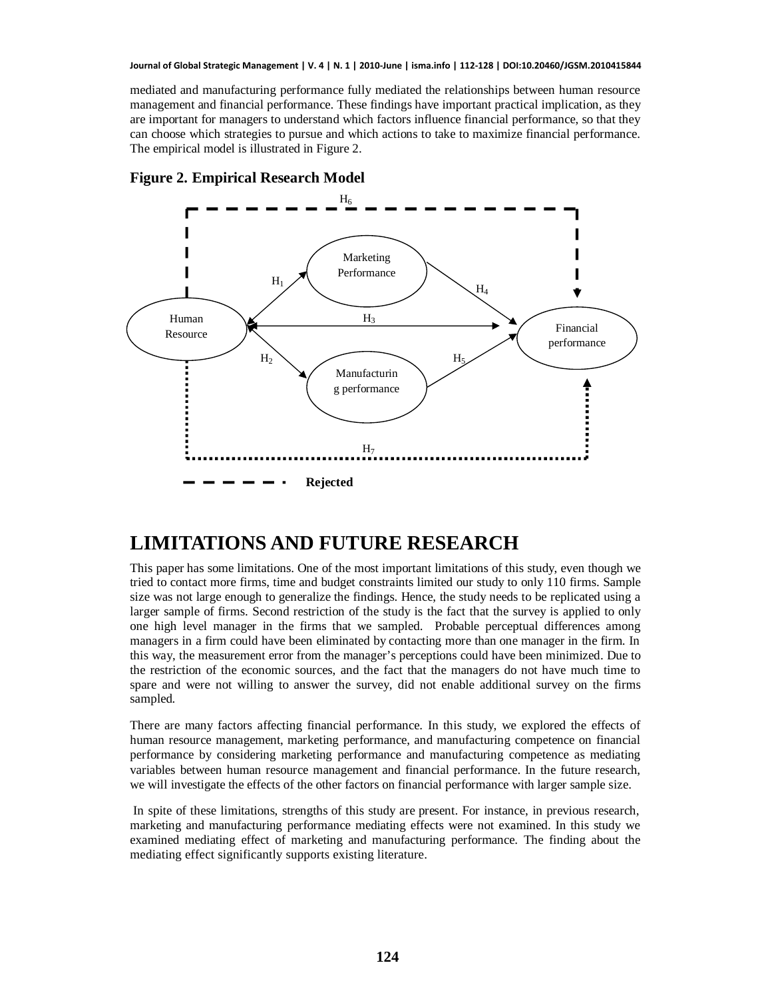mediated and manufacturing performance fully mediated the relationships between human resource management and financial performance. These findings have important practical implication, as they are important for managers to understand which factors influence financial performance, so that they can choose which strategies to pursue and which actions to take to maximize financial performance. The empirical model is illustrated in Figure 2.





## **LIMITATIONS AND FUTURE RESEARCH**

This paper has some limitations. One of the most important limitations of this study, even though we tried to contact more firms, time and budget constraints limited our study to only 110 firms. Sample size was not large enough to generalize the findings. Hence, the study needs to be replicated using a larger sample of firms. Second restriction of the study is the fact that the survey is applied to only one high level manager in the firms that we sampled. Probable perceptual differences among managers in a firm could have been eliminated by contacting more than one manager in the firm. In this way, the measurement error from the manager's perceptions could have been minimized. Due to the restriction of the economic sources, and the fact that the managers do not have much time to spare and were not willing to answer the survey, did not enable additional survey on the firms sampled.

There are many factors affecting financial performance. In this study, we explored the effects of human resource management, marketing performance, and manufacturing competence on financial performance by considering marketing performance and manufacturing competence as mediating variables between human resource management and financial performance. In the future research, we will investigate the effects of the other factors on financial performance with larger sample size.

In spite of these limitations, strengths of this study are present. For instance, in previous research, marketing and manufacturing performance mediating effects were not examined. In this study we examined mediating effect of marketing and manufacturing performance. The finding about the mediating effect significantly supports existing literature.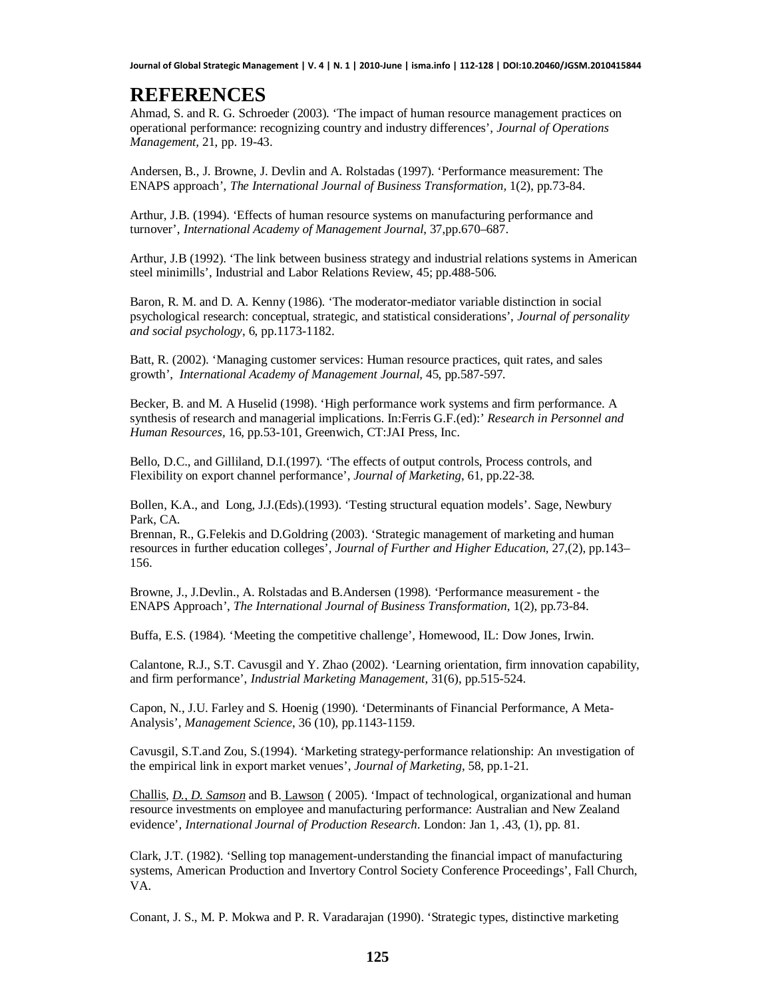### **REFERENCES**

Ahmad, S. and R. G. Schroeder (2003). 'The impact of human resource management practices on operational performance: recognizing country and industry differences', *Journal of Operations Management,* 21, pp. 19-43.

Andersen, B., J. Browne, J. Devlin and A. Rolstadas (1997). 'Performance measurement: The ENAPS approach', *The International Journal of Business Transformation,* 1(2), pp.73-84.

Arthur, J.B. (1994). 'Effects of human resource systems on manufacturing performance and turnover', *International Academy of Management Journal*, 37,pp.670–687.

Arthur, J.B (1992). 'The link between business strategy and industrial relations systems in American steel minimills', Industrial and Labor Relations Review, 45; pp.488-506.

Baron, R. M. and D. A. Kenny (1986). 'The moderator-mediator variable distinction in social psychological research: conceptual, strategic, and statistical considerations', *Journal of personality and social psychology*, 6, pp.1173-1182.

Batt, R. (2002). 'Managing customer services: Human resource practices, quit rates, and sales growth', *International Academy of Management Journal,* 45, pp.587-597.

Becker, B. and M. A Huselid (1998). 'High performance work systems and firm performance. A synthesis of research and managerial implications. In:Ferris G.F.(ed):' *Research in Personnel and Human Resources,* 16, pp.53-101, Greenwich, CT:JAI Press, Inc.

Bello, D.C., and Gilliland, D.I.(1997). 'The effects of output controls, Process controls, and Flexibility on export channel performance', *Journal of Marketing*, 61, pp.22-38.

Bollen, K.A., and Long, J.J.(Eds).(1993). 'Testing structural equation models'. Sage, Newbury Park, CA.

Brennan, R., G.Felekis and D.Goldring (2003). 'Strategic management of marketing and human resources in further education colleges', *Journal of Further and Higher Education,* 27,(2), pp.143– 156.

Browne, J., J.Devlin., A. Rolstadas and B.Andersen (1998). 'Performance measurement - the ENAPS Approach', *The International Journal of Business Transformation*, 1(2), pp.73-84.

Buffa, E.S. (1984). 'Meeting the competitive challenge', Homewood, IL: Dow Jones, Irwin.

Calantone, R.J., S.T. Cavusgil and Y. Zhao (2002). 'Learning orientation, firm innovation capability, and firm performance', *Industrial Marketing Management*, 31(6), pp.515-524.

Capon, N., J.U. Farley and S. Hoenig (1990). 'Determinants of Financial Performance, A Meta-Analysis', *Management Science*, 36 (10), pp.1143-1159.

Cavusgil, S.T.and Zou, S.(1994). 'Marketing strategy-performance relationship: An investigation of the empirical link in export market venues', *Journal of Marketing*, 58, pp.1-21.

Challis*, D., D. Samson* and B. Lawson ( 2005). 'Impact of technological, organizational and human resource investments on employee and manufacturing performance: Australian and New Zealand evidence'*, International Journal of Production Research*. London: Jan 1, .43, (1), pp. 81.

Clark, J.T. (1982). 'Selling top management-understanding the financial impact of manufacturing systems, American Production and Invertory Control Society Conference Proceedings', Fall Church, VA.

Conant, J. S., M. P. Mokwa and P. R. Varadarajan (1990). 'Strategic types, distinctive marketing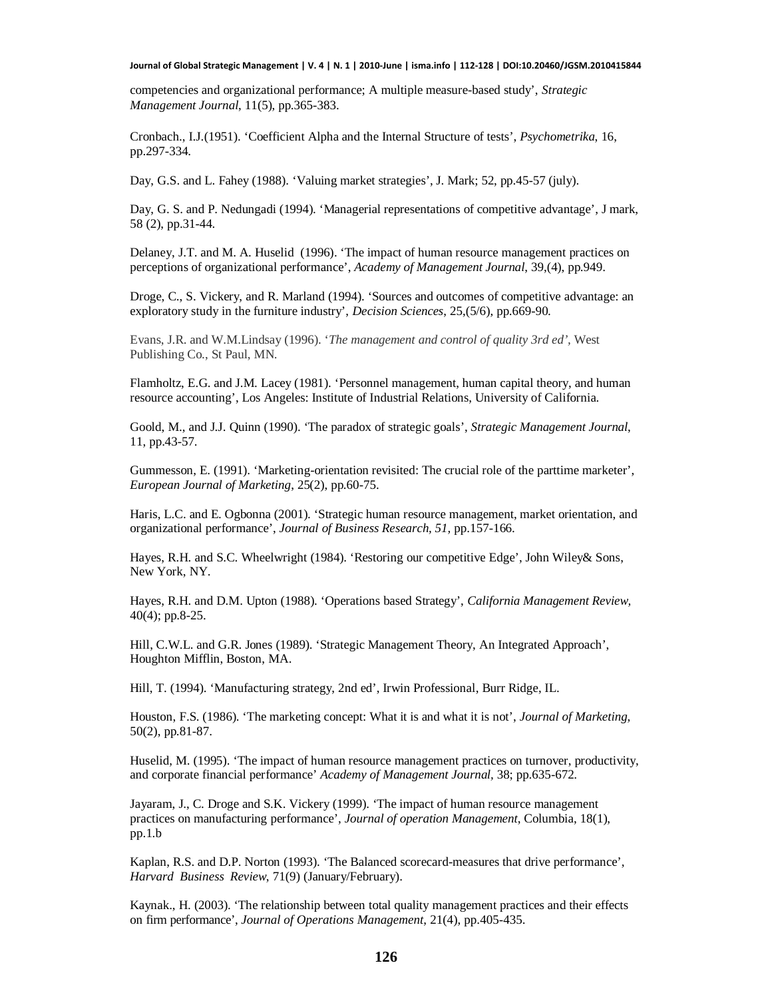competencies and organizational performance; A multiple measure-based study', *Strategic Management Journal*, 11(5), pp.365-383.

Cronbach., I.J.(1951). 'Coefficient Alpha and the Internal Structure of tests', *Psychometrika*, 16, pp.297-334.

Day, G.S. and L. Fahey (1988). 'Valuing market strategies', J. Mark; 52, pp.45-57 (july).

Day, G. S. and P. Nedungadi (1994). 'Managerial representations of competitive advantage', J mark, 58 (2), pp.31-44.

Delaney, J.T. and M. A. Huselid (1996). 'The impact of human resource management practices on perceptions of organizational performance', *Academy of Management Journal*, 39,(4), pp.949.

Droge, C., S. Vickery, and R. Marland (1994). 'Sources and outcomes of competitive advantage: an exploratory study in the furniture industry', *Decision Sciences*, 25,(5/6), pp.669-90.

Evans, J.R. and W.M.Lindsay (1996). '*The management and control of quality 3rd ed',* West Publishing Co., St Paul, MN.

Flamholtz, E.G. and J.M. Lacey (1981). 'Personnel management, human capital theory, and human resource accounting', Los Angeles: Institute of Industrial Relations, University of California.

Goold, M., and J.J. Quinn (1990). 'The paradox of strategic goals', *Strategic Management Journal*, 11, pp.43-57.

Gummesson, E. (1991). 'Marketing-orientation revisited: The crucial role of the parttime marketer', *European Journal of Marketing*, 25(2), pp.60-75.

Haris, L.C. and E. Ogbonna (2001). 'Strategic human resource management, market orientation, and organizational performance', *Journal of Business Research, 51,* pp.157-166.

Hayes, R.H. and S.C. Wheelwright (1984). 'Restoring our competitive Edge', John Wiley& Sons, New York, NY.

Hayes, R.H. and D.M. Upton (1988). 'Operations based Strategy', *California Management Review,* 40(4); pp.8-25.

Hill, C.W.L. and G.R. Jones (1989). 'Strategic Management Theory, An Integrated Approach', Houghton Mifflin, Boston, MA.

Hill, T. (1994). 'Manufacturing strategy, 2nd ed', Irwin Professional, Burr Ridge, IL.

Houston, F.S. (1986). 'The marketing concept: What it is and what it is not', *Journal of Marketing,* 50(2), pp.81-87.

Huselid, M. (1995). 'The impact of human resource management practices on turnover, productivity, and corporate financial performance' *Academy of Management Journal,* 38; pp.635-672.

Jayaram, J., C. Droge and S.K. Vickery (1999). 'The impact of human resource management practices on manufacturing performance', *Journal of operation Management*, Columbia, 18(1), pp.1.b

Kaplan, R.S. and D.P. Norton (1993). 'The Balanced scorecard-measures that drive performance', *Harvard Business Review*, 71(9) (January/February).

Kaynak., H. (2003). 'The relationship between total quality management practices and their effects on firm performance', *Journal of Operations Management*, 21(4), pp.405-435.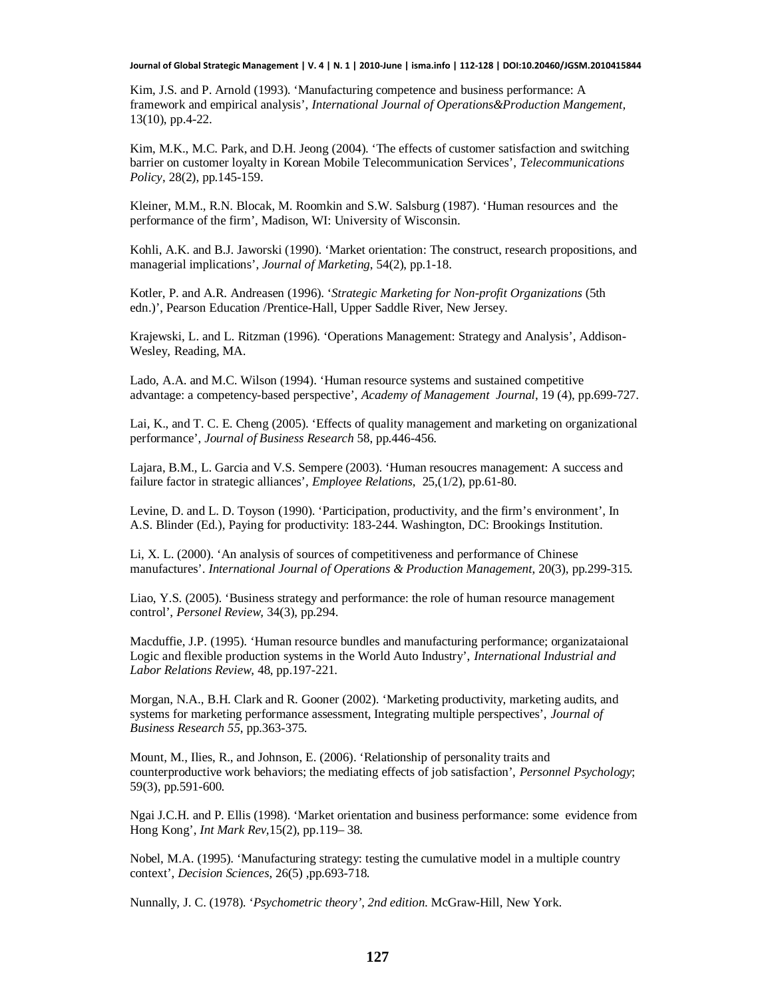Kim, J.S. and P. Arnold (1993). 'Manufacturing competence and business performance: A framework and empirical analysis', *International Journal of Operations&Production Mangement,* 13(10), pp.4-22.

Kim, M.K., M.C. Park, and D.H. Jeong (2004). 'The effects of customer satisfaction and switching barrier on customer loyalty in Korean Mobile Telecommunication Services', *Telecommunications Policy*, 28(2), pp.145-159.

Kleiner, M.M., R.N. Blocak, M. Roomkin and S.W. Salsburg (1987). 'Human resources and the performance of the firm', Madison, WI: University of Wisconsin.

Kohli, A.K. and B.J. Jaworski (1990). 'Market orientation: The construct, research propositions, and managerial implications', *Journal of Marketing*, 54(2), pp.1-18.

Kotler, P. and A.R. Andreasen (1996). '*Strategic Marketing for Non-profit Organizations* (5th edn.)', Pearson Education /Prentice-Hall, Upper Saddle River, New Jersey.

Krajewski, L. and L. Ritzman (1996). 'Operations Management: Strategy and Analysis', Addison-Wesley, Reading, MA.

Lado, A.A. and M.C. Wilson (1994). 'Human resource systems and sustained competitive advantage: a competency-based perspective', *Academy of Management Journal*, 19 (4), pp.699-727.

Lai, K., and T. C. E. Cheng (2005). 'Effects of quality management and marketing on organizational performance', *Journal of Business Research* 58, pp.446-456.

Lajara, B.M., L. Garcia and V.S. Sempere (2003). 'Human resoucres management: A success and failure factor in strategic alliances', *Employee Relations*, 25,(1/2), pp.61-80.

Levine, D. and L. D. Toyson (1990). 'Participation, productivity, and the firm's environment', In A.S. Blinder (Ed.), Paying for productivity: 183-244. Washington, DC: Brookings Institution.

Li, X. L. (2000). 'An analysis of sources of competitiveness and performance of Chinese manufactures'. *International Journal of Operations & Production Management*, 20(3), pp.299-315.

Liao, Y.S. (2005). 'Business strategy and performance: the role of human resource management control', *Personel Review,* 34(3), pp.294.

Macduffie, J.P. (1995). 'Human resource bundles and manufacturing performance; organizataional Logic and flexible production systems in the World Auto Industry', *International Industrial and Labor Relations Review*, 48, pp.197-221.

Morgan, N.A., B.H. Clark and R. Gooner (2002). 'Marketing productivity, marketing audits, and systems for marketing performance assessment, Integrating multiple perspectives', *Journal of Business Research 55*, pp.363-375.

Mount, M., Ilies, R., and Johnson, E. (2006). 'Relationship of personality traits and counterproductive work behaviors; the mediating effects of job satisfaction', *Personnel Psychology*; 59(3), pp.591-600.

Ngai J.C.H. and P. Ellis (1998). 'Market orientation and business performance: some evidence from Hong Kong', *Int Mark Rev,*15(2), pp.119– 38.

Nobel, M.A. (1995). 'Manufacturing strategy: testing the cumulative model in a multiple country context', *Decision Sciences*, 26(5) ,pp.693-718.

Nunnally, J. C. (1978). '*Psychometric theory', 2nd edition.* McGraw-Hill, New York.